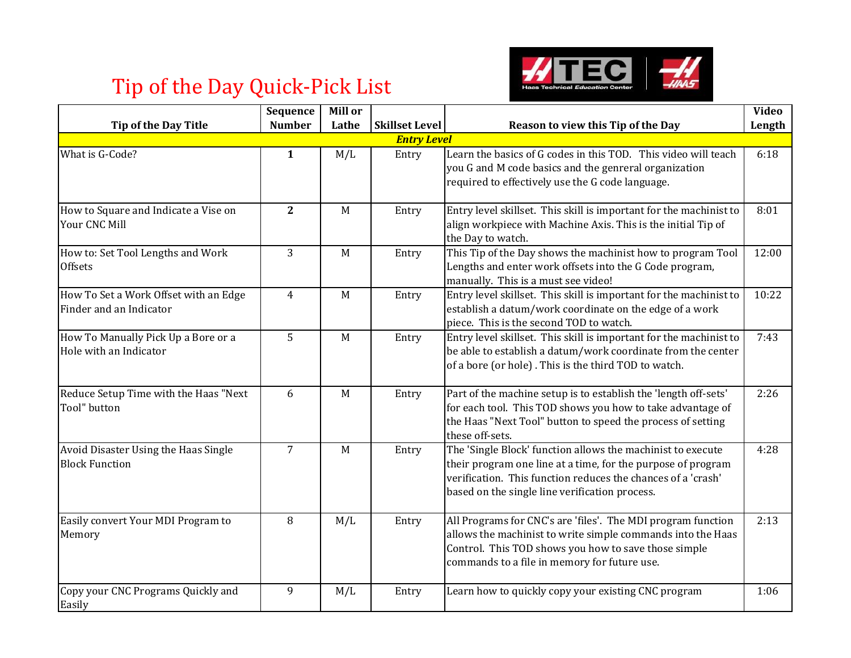

## Tip of the Day Quick-Pick List

|                                                                  | Sequence       | Mill or     |                       |                                                                                                                                                                                                                                               | <b>Video</b> |  |
|------------------------------------------------------------------|----------------|-------------|-----------------------|-----------------------------------------------------------------------------------------------------------------------------------------------------------------------------------------------------------------------------------------------|--------------|--|
| <b>Tip of the Day Title</b>                                      | <b>Number</b>  | Lathe       | <b>Skillset Level</b> | Reason to view this Tip of the Day                                                                                                                                                                                                            | Length       |  |
| <b>Entry Level</b>                                               |                |             |                       |                                                                                                                                                                                                                                               |              |  |
| What is G-Code?                                                  | $\mathbf{1}$   | M/L         | Entry                 | Learn the basics of G codes in this TOD. This video will teach<br>you G and M code basics and the genreral organization<br>required to effectively use the G code language.                                                                   | 6:18         |  |
| How to Square and Indicate a Vise on<br>Your CNC Mill            | $\overline{2}$ | M           | Entry                 | Entry level skillset. This skill is important for the machinist to<br>align workpiece with Machine Axis. This is the initial Tip of<br>the Day to watch.                                                                                      | 8:01         |  |
| How to: Set Tool Lengths and Work<br><b>Offsets</b>              | $\overline{3}$ | M           | Entry                 | This Tip of the Day shows the machinist how to program Tool<br>Lengths and enter work offsets into the G Code program,<br>manually. This is a must see video!                                                                                 | 12:00        |  |
| How To Set a Work Offset with an Edge<br>Finder and an Indicator | $\overline{4}$ | M           | Entry                 | Entry level skillset. This skill is important for the machinist to<br>establish a datum/work coordinate on the edge of a work<br>piece. This is the second TOD to watch.                                                                      | 10:22        |  |
| How To Manually Pick Up a Bore or a<br>Hole with an Indicator    | 5              | M           | Entry                 | Entry level skillset. This skill is important for the machinist to<br>be able to establish a datum/work coordinate from the center<br>of a bore (or hole). This is the third TOD to watch.                                                    | 7:43         |  |
| Reduce Setup Time with the Haas "Next<br>Tool" button            | 6              | M           | Entry                 | Part of the machine setup is to establish the 'length off-sets'<br>for each tool. This TOD shows you how to take advantage of<br>the Haas "Next Tool" button to speed the process of setting<br>these off-sets.                               | 2:26         |  |
| Avoid Disaster Using the Haas Single<br><b>Block Function</b>    | $\overline{7}$ | $\mathbf M$ | Entry                 | The 'Single Block' function allows the machinist to execute<br>their program one line at a time, for the purpose of program<br>verification. This function reduces the chances of a 'crash'<br>based on the single line verification process. | 4:28         |  |
| Easily convert Your MDI Program to<br>Memory                     | 8              | M/L         | Entry                 | All Programs for CNC's are 'files'. The MDI program function<br>allows the machinist to write simple commands into the Haas<br>Control. This TOD shows you how to save those simple<br>commands to a file in memory for future use.           | 2:13         |  |
| Copy your CNC Programs Quickly and<br>Easily                     | 9              | M/L         | Entry                 | Learn how to quickly copy your existing CNC program                                                                                                                                                                                           | 1:06         |  |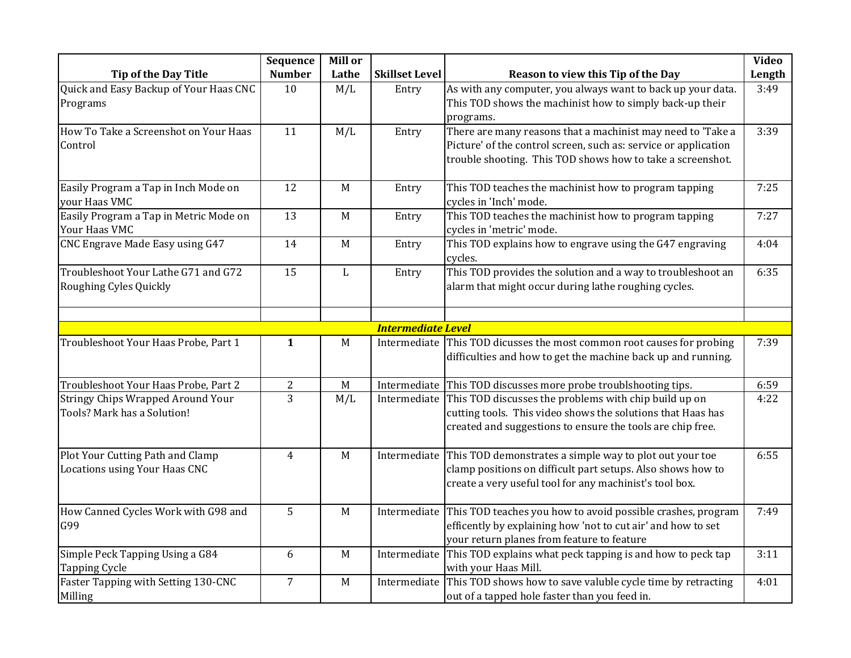|                                                                   | Sequence         | Mill or      |                           |                                                                                                                                                                                                 | Video  |
|-------------------------------------------------------------------|------------------|--------------|---------------------------|-------------------------------------------------------------------------------------------------------------------------------------------------------------------------------------------------|--------|
| <b>Tip of the Day Title</b>                                       | <b>Number</b>    | Lathe        | <b>Skillset Level</b>     | Reason to view this Tip of the Day                                                                                                                                                              | Length |
| Quick and Easy Backup of Your Haas CNC<br>Programs                | 10               | M/L          | Entry                     | As with any computer, you always want to back up your data.<br>This TOD shows the machinist how to simply back-up their<br>programs.                                                            | 3:49   |
| How To Take a Screenshot on Your Haas<br>Control                  | 11               | M/L          | Entry                     | There are many reasons that a machinist may need to 'Take a<br>Picture' of the control screen, such as: service or application<br>trouble shooting. This TOD shows how to take a screenshot.    | 3:39   |
| Easily Program a Tap in Inch Mode on<br>your Haas VMC             | 12               | $\mathbf M$  | Entry                     | This TOD teaches the machinist how to program tapping<br>cycles in 'Inch' mode.                                                                                                                 | 7:25   |
| Easily Program a Tap in Metric Mode on<br>Your Haas VMC           | 13               | $\mathbf M$  | Entry                     | This TOD teaches the machinist how to program tapping<br>cycles in 'metric' mode.                                                                                                               | 7:27   |
| CNC Engrave Made Easy using G47                                   | 14               | M            | Entry                     | This TOD explains how to engrave using the G47 engraving<br>cycles.                                                                                                                             | 4:04   |
| Troubleshoot Your Lathe G71 and G72<br>Roughing Cyles Quickly     | 15               | $\mathbf{L}$ | Entry                     | This TOD provides the solution and a way to troubleshoot an<br>alarm that might occur during lathe roughing cycles.                                                                             | 6:35   |
|                                                                   |                  |              | <b>Intermediate Level</b> |                                                                                                                                                                                                 |        |
| Troubleshoot Your Haas Probe, Part 1                              | $\mathbf{1}$     | $\mathbf M$  | Intermediate              | This TOD dicusses the most common root causes for probing<br>difficulties and how to get the machine back up and running.                                                                       | 7:39   |
| Troubleshoot Your Haas Probe, Part 2                              | $\boldsymbol{2}$ | M            |                           | Intermediate This TOD discusses more probe troublshooting tips.                                                                                                                                 | 6:59   |
| Stringy Chips Wrapped Around Your<br>Tools? Mark has a Solution!  | 3                | M/L          |                           | Intermediate This TOD discusses the problems with chip build up on<br>cutting tools. This video shows the solutions that Haas has<br>created and suggestions to ensure the tools are chip free. | 4:22   |
| Plot Your Cutting Path and Clamp<br>Locations using Your Haas CNC | $\overline{4}$   | $\mathbf M$  | Intermediate              | This TOD demonstrates a simple way to plot out your toe<br>clamp positions on difficult part setups. Also shows how to<br>create a very useful tool for any machinist's tool box.               | 6:55   |
| How Canned Cycles Work with G98 and<br>G99                        | 5                | M            |                           | Intermediate This TOD teaches you how to avoid possible crashes, program<br>efficently by explaining how 'not to cut air' and how to set<br>your return planes from feature to feature          | 7:49   |
| Simple Peck Tapping Using a G84<br><b>Tapping Cycle</b>           | 6                | $\mathbf M$  |                           | Intermediate This TOD explains what peck tapping is and how to peck tap<br>with your Haas Mill.                                                                                                 | 3:11   |
| Faster Tapping with Setting 130-CNC<br>Milling                    | $\overline{7}$   | M            | Intermediate              | This TOD shows how to save valuble cycle time by retracting<br>out of a tapped hole faster than you feed in.                                                                                    | 4:01   |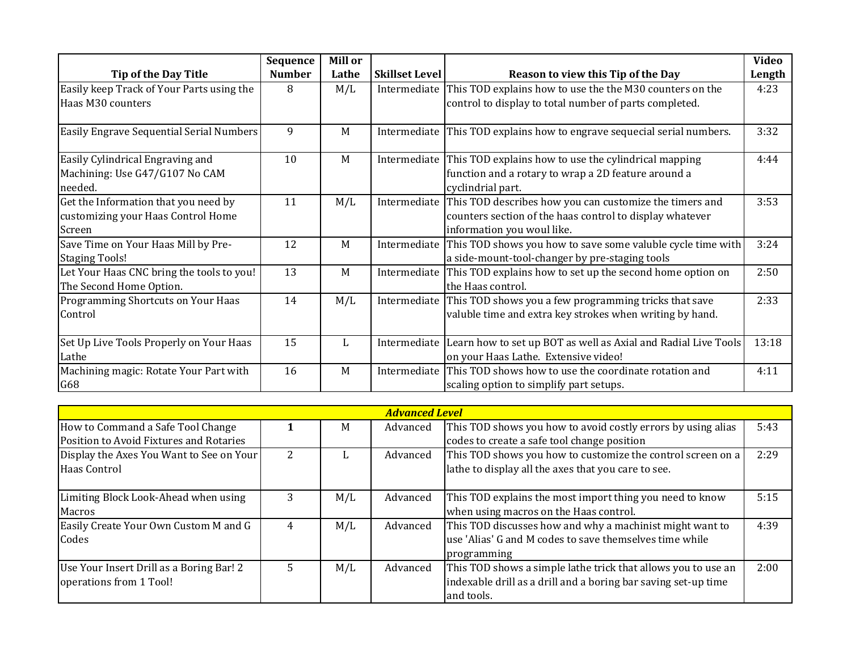|                                               | Sequence      | Mill or |                       |                                                                                                  | <b>Video</b> |
|-----------------------------------------------|---------------|---------|-----------------------|--------------------------------------------------------------------------------------------------|--------------|
| <b>Tip of the Day Title</b>                   | <b>Number</b> | Lathe   | <b>Skillset Level</b> | Reason to view this Tip of the Day                                                               | Length       |
| Easily keep Track of Your Parts using the     | 8             | M/L     | Intermediate          | This TOD explains how to use the the M30 counters on the                                         | 4:23         |
| Haas M30 counters                             |               |         |                       | control to display to total number of parts completed.                                           |              |
| Easily Engrave Sequential Serial Numbers      | 9             | M       | Intermediate          | This TOD explains how to engrave sequecial serial numbers.                                       | 3:32         |
| Easily Cylindrical Engraving and              | 10            | M       |                       | Intermediate This TOD explains how to use the cylindrical mapping                                | 4:44         |
| Machining: Use G47/G107 No CAM<br>needed.     |               |         |                       | function and a rotary to wrap a 2D feature around a<br>cyclindrial part.                         |              |
| Get the Information that you need by          | 11            | M/L     | Intermediate          | This TOD describes how you can customize the timers and                                          | 3:53         |
| customizing your Haas Control Home            |               |         |                       | counters section of the haas control to display whatever                                         |              |
| Screen                                        |               |         |                       | information you woul like.                                                                       |              |
| Save Time on Your Haas Mill by Pre-           | 12            | M       | Intermediate          | This TOD shows you how to save some valuble cycle time with                                      | 3:24         |
| <b>Staging Tools!</b>                         |               |         |                       | a side-mount-tool-changer by pre-staging tools                                                   |              |
| Let Your Haas CNC bring the tools to you!     | 13            | M       | Intermediate          | This TOD explains how to set up the second home option on                                        | 2:50         |
| The Second Home Option.                       |               |         |                       | the Haas control.                                                                                |              |
| Programming Shortcuts on Your Haas            | 14            | M/L     |                       | Intermediate This TOD shows you a few programming tricks that save                               | 2:33         |
| Control                                       |               |         |                       | valuble time and extra key strokes when writing by hand.                                         |              |
| Set Up Live Tools Properly on Your Haas       | 15            | L       |                       | Intermediate Learn how to set up BOT as well as Axial and Radial Live Tools                      | 13:18        |
| Lathe                                         |               |         |                       | on your Haas Lathe. Extensive video!                                                             |              |
| Machining magic: Rotate Your Part with<br>G68 | 16            | M       | Intermediate          | This TOD shows how to use the coordinate rotation and<br>scaling option to simplify part setups. | 4:11         |

| <b>Advanced Level</b>                    |    |     |          |                                                                |      |
|------------------------------------------|----|-----|----------|----------------------------------------------------------------|------|
| How to Command a Safe Tool Change        |    | M   | Advanced | This TOD shows you how to avoid costly errors by using alias   | 5:43 |
| Position to Avoid Fixtures and Rotaries  |    |     |          | codes to create a safe tool change position                    |      |
| Display the Axes You Want to See on Your | 2  |     | Advanced | This TOD shows you how to customize the control screen on a    | 2:29 |
| Haas Control                             |    |     |          | lathe to display all the axes that you care to see.            |      |
| Limiting Block Look-Ahead when using     | 3  | M/L | Advanced | This TOD explains the most import thing you need to know       | 5:15 |
| Macros                                   |    |     |          | when using macros on the Haas control.                         |      |
| Easily Create Your Own Custom M and G    | 4  | M/L | Advanced | This TOD discusses how and why a machinist might want to       | 4:39 |
| Codes                                    |    |     |          | use 'Alias' G and M codes to save themselves time while        |      |
|                                          |    |     |          | programming                                                    |      |
| Use Your Insert Drill as a Boring Bar! 2 | 5. | M/L | Advanced | This TOD shows a simple lathe trick that allows you to use an  | 2:00 |
| operations from 1 Tool!                  |    |     |          | indexable drill as a drill and a boring bar saving set-up time |      |
|                                          |    |     |          | and tools.                                                     |      |